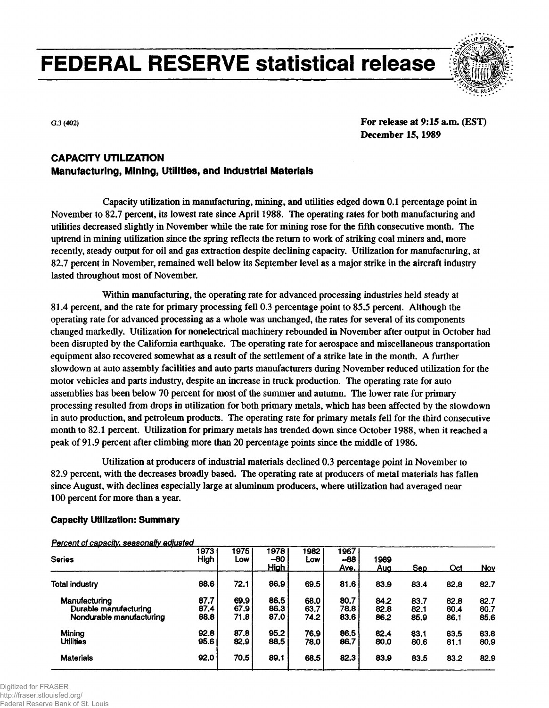**FEDERAL RESERVE statistical release**



**G.3 (402)**

**For release at 9:15 a.m. (EST) December 15,1989**

# **CAPACITY UTILIZATION Manufacturing, Mining, Utilities, and Industrial Materials**

Capacity utilization in manufacturing, mining, and utilities edged down 0.1 percentage point in November to 82.7 percent, its lowest rate since April 1988. The operating rates for both manufacturing and utilities decreased slightly in November while the rate for mining rose for the fifth consecutive month. The uptrend in mining utilization since the spring reflects the return to work of striking coal miners and, more recently, steady output for oil and gas extraction despite declining capacity. Utilization for manufacturing, at 82.7 percent in November, remained well below its September level as a major strike in the aircraft industry lasted throughout most of November.

Within manufacturing, the operating rate for advanced processing industries held steady at 81.4 percent, and the rate for primary processing fell 0.3 percentage point to 85.5 percent. Although the operating rate for advanced processing as a whole was unchanged, the rates for several of its components changed markedly. Utilization for nonelectrical machinery rebounded in November after output in October had been disrupted by the California earthquake. The operating rate for aerospace and miscellaneous transportation equipment also recovered somewhat as a result of the settlement of a strike late in the month. A further slowdown at auto assembly facilities and auto parts manufacturers during November reduced utilization for the motor vehicles and parts industry, despite an increase in truck production. The operating rate for auto assemblies has been below 70 percent for most of the summer and autumn. The lower rate for primary processing resulted from drops in utilization for both primary metals, which has been affected by the slowdown in auto production, and petroleum products. The operating rate for primary metals fell for the third consecutive month to 82.1 percent. Utilization for primary metals has trended down since October 1988, when it reached a peak of 91.9 percent after climbing more than 20 percentage points since the middle of 1986.

Utilization at producers of industrial materials declined 0.3 percentage point in November to 82.9 percent, with the decreases broadly based. The operating rate at producers of metal materials has fallen since August, with declines especially large at aluminum producers, where utilization had averaged near 100 percent for more than a year.

# **Capacity Utilization: Summary**

#### **Series Total industry Manufacturing Durable manufacturing Nondurable manufacturing Mining Utilities Materials 1973 High 88.6 87.7 87.4 88.8 92.8 95.6 92.0 1975 Low 72.1 69.9 67.9 71.8 87.8 82.9 70.5 1978 -80 High 86.9 86.5 86.3 87.0 95.2 88.5 89.1 1982 Low 69.5 68.0 63.7 74.2 76.9 78.0 68.5 1967 -68 Ave. 81.6 80.7 78.8 83.6 86.5 86.7 82.3 1989 Aug 83.9 84.2 82.8 86.2 82.4 80.0 83.9 Sep 83.4 83.7 82.1 85.9 83.1 80.6 83.5 Oct 82.8 82.8 80.4 86.1 83.5 81.1 83.2 Nov 82.7 82.7 80.7 85.6 83.8 80.9 82.9**

# **Percent of capacity, seasonally adjusted**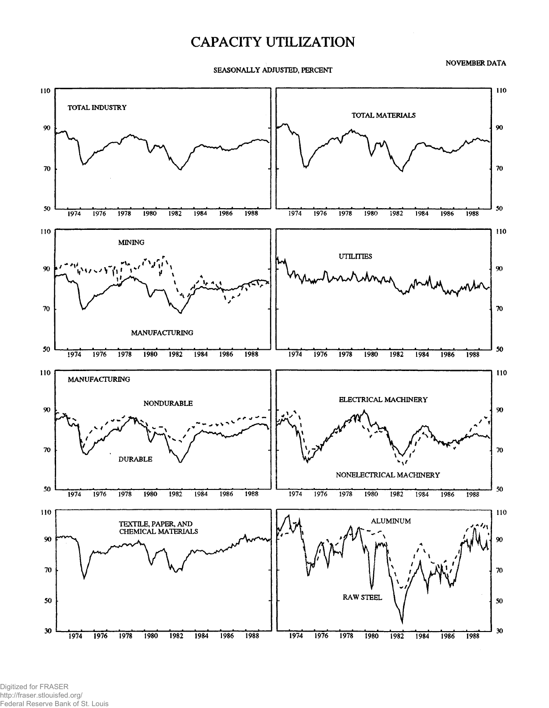# **CAPACITY UTILIZATION**

SEASONALLY ADJUSTED, PERCENT

NOVEMBER DATA



Digitized for FRASER http://fraser.stlouisfed.org/ Federal Reserve Bank of St. Louis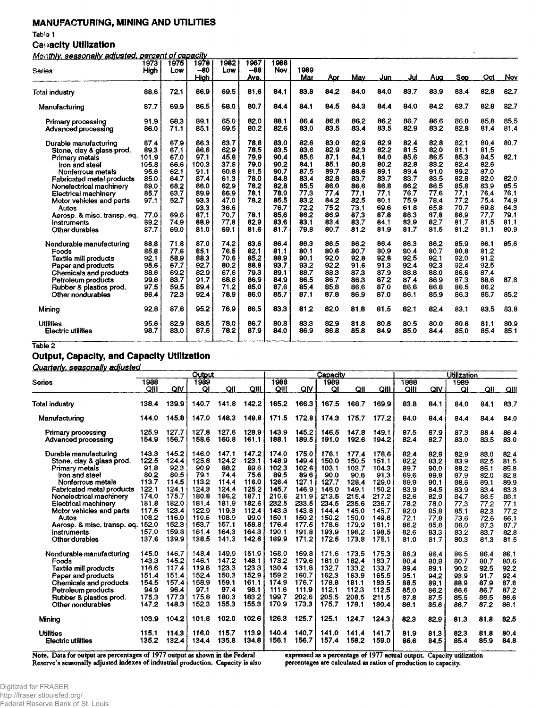# **MANUFACTURING, MINING AND UTILITIES**

Table 1

# **Capacity Utilization**

**MQnthlv. seasonally adjusted. percent ofcai oacity**

|                             | 1973  | 1975 | 1978        | 1982 | 1967 | 1988 |      |      |      |      |      |      |      |      |      |
|-----------------------------|-------|------|-------------|------|------|------|------|------|------|------|------|------|------|------|------|
| Series                      | High  | Low  | $-80$       | Low  | -88  | Nov  | 1989 |      |      |      |      |      |      |      |      |
|                             |       |      | <b>High</b> |      | Ave. |      | Mar  | Apr  | May  | Jun  | Jul  | Aua  | Seo  | Oct  | Nov  |
| Total industry              | 88.6  | 72.1 | 86.9        | 69.5 | 81.6 | 84.1 | 83.8 | 84.2 | 84.0 | 84.0 | 83.7 | 83.9 | 83.4 | 82.8 | 82.7 |
| Manufacturing               | 87.7  | 69.9 | 86.5        | 68.0 | 80.7 | 84.4 | 84.1 | 84.5 | 84.3 | 84.4 | 84.0 | 84.2 | 83.7 | 82.8 | 82.7 |
| Primary processing          | 91.9  | 68.3 | 89.1        | 65.0 | 82.0 | 88.1 | 86.4 | 86.8 | 86.2 | 86.2 | 86.7 | 86.6 | 86.0 | 85.8 | 85.5 |
| Advanced processing         | 86.0  | 71.1 | 85.1        | 69.5 | 80.2 | 82.6 | 83.0 | 83.5 | 83.4 | 83.5 | 82.9 | 83.2 | 82.8 | 81.4 | 81.4 |
| Durable manufacturing       | 87.4  | 67.9 | 86.3        | 63.7 | 78.8 | 83.0 | 82.6 | 83.0 | 82.9 | 82.9 | 82.4 | 82.8 | 82.1 | 80.4 | 80.7 |
| Stone, clay & glass prod.   | 89.3  | 67.1 | 86.6        | 62.9 | 78.5 | 83.5 | 83.6 | 82.9 | 82.3 | 82.2 | 81.5 | 82.0 | 81.1 | 81.5 |      |
| <b>Primary metals</b>       | 101.9 | 67.0 | 97.1        | 45.8 | 79.9 | 90.4 | 85.6 | 87.1 | 84.1 | 84.0 | 85.6 | 86.5 | 85.3 | 84.5 | 82.1 |
| fron and steel              | 105.8 | 66.6 | 100.3       | 37.6 | 79.0 | 90.2 | 84.1 | 85.1 | 80.8 | 80.2 | 82.8 | 83.2 | 82.4 | 82.6 |      |
| Nonferrous metals           | 95.6  | 62.1 | 91.1        | 60.8 | 81.5 | 90.7 | 87.5 | 89.7 | 88.6 | 89.1 | 89.4 | 91.0 | 89.2 | 87.0 |      |
| Fabricated metal products   | 85.0  | 64.7 | 87.4        | 61.3 | 78.0 | 84.8 | 83.4 | 82.8 | 83.7 | 83.7 | 83.7 | 83.5 | 82.8 | 82.0 | 82.0 |
| Nonelectrical machinery     | 89.0  | 68.2 | 86.0        | 62.9 | 78.2 | 82.8 | 85.5 | 86.0 | 86.6 | 86.8 | 86.2 | 86.5 | 85.8 | 83.9 | 85.5 |
| <b>Electrical machinery</b> | 85.7  | 63.7 | 89.9        | 66.9 | 78.1 | 78.0 | 77.3 | 77.4 | 77.1 | 77.1 | 76.7 | 77.6 | 77.1 | 76.4 | 76.1 |
| Motor vehicles and parts    | 97.1  | 52.7 | 93.3        | 47.0 | 78.2 | 85.5 | 83.2 | 84.2 | 82.5 | 80.1 | 75.9 | 78.4 | 77.2 | 75.4 | 74.9 |
| Autos                       |       |      | 93.3        | 36.6 |      | 76.7 | 72.2 | 75.2 | 73.1 | 69.6 | 61.8 | 65.8 | 70.7 | 69.8 | 64.3 |
| Aerosp. & misc. transp. eq. | 77.0  | 69.6 | 87.1        | 70.7 | 78.1 | 85.6 | 86.2 | 86.9 | 87.3 | 87.8 | 88.3 | 87.8 | 86.9 | 77.7 | 79.1 |
| Instruments                 | 89.2  | 74.9 | 88.9        | 77.8 | 82.9 | 83.6 | 83.1 | 83.4 | 83.7 | 84.1 | 83.9 | 82.7 | 81.7 | 81.5 | 81.1 |
| Other durables              | 87.7  | 69.0 | 81.0        | 69.1 | 81.6 | 81.7 | 79.8 | 80.7 | 81.2 | 81.9 | 81.7 | 81.5 | 81.2 | 81.1 | 80.9 |
| Nondurable manufacturing    | 88.8  | 71.8 | 87.0        | 74.2 | 83.6 | 86.4 | 86.3 | 86.5 | 86.2 | 86.4 | 86.3 | 86.2 | 85.9 | 86.1 | 85.6 |
| Foods                       | 85.8  | 77.6 | 85.1        | 76.5 | 82.1 | 81.1 | 80.1 | 80.6 | 80.7 | 80.9 | 80.4 | 80.7 | 80.8 | 81.2 |      |
| Textile mill products       | 92.1  | 58.9 | 88.3        | 70.6 | 85.2 | 88.9 | 90.1 | 92.0 | 92.8 | 92.8 | 92.5 | 92.1 | 92.0 | 91.2 |      |
| Paper and products          | 95.6  | 67.7 | 92.7        | 80.2 | 88.8 | 93.7 | 93.2 | 92.2 | 91.6 | 91.3 | 92.4 | 92.3 | 92.4 | 92.5 |      |
| Chemicals and products      | 88.6  | 69.2 | 82.9        | 67.6 | 79.3 | 89.1 | 88.7 | 88.3 | 87.3 | 87.9 | 88.8 | 88.0 | 86.6 | 87.4 |      |
| Petroleum products          | 99.6  | 83.7 | 91.7        | 68.8 | 86.9 | 84.9 | 86.5 | 86.7 | 86.3 | 87.2 | 87.4 | 86.9 | 87.3 | 88.6 | 87.8 |
| Rubber & plastics prod.     | 97.5  | 59.5 | 89.4        | 71.2 | 85.0 | 87.6 | 85.4 | 85.8 | 86.6 | 87.0 | 86.6 | 86.8 | 86.5 | 86.2 |      |
| Other nondurables           | 86.4  | 72.3 | 92.4        | 78.9 | 86.0 | 85.7 | 87.1 | 87.8 | 86.9 | 87.0 | 86.1 | 85.9 | 86.3 | 85.7 | 85.2 |
| Mining                      | 92.8  | 87.8 | 95.2        | 76.9 | 86.5 | 83.3 | 81.2 | 82.0 | 81.8 | 81.5 | 82.1 | 82.4 | 83.1 | 83.5 | 83.8 |
| <b>Utilities</b>            | 95.6  | 82.9 | 88.5        | 78.0 | 86.7 | 80.8 | 83.3 | 82.9 | 81.8 | 80.8 | 80.5 | 80.0 | 80.6 | 81.1 | 80.9 |
| Electric utilities          | 98.7  | 83.0 | 87.6        | 78.2 | 87.9 | 84.0 | 86.9 | 86.8 | 85.8 | 84.9 | 85.0 | 84.4 | 85.0 | 85.4 | 85.1 |
|                             |       |      |             |      |      |      |      |      |      |      |      |      |      |      |      |

**Table 2**

# **Output, Capacity, and Capacity Utilization**

**Quarterly, seasonally adjusted**

|                                                                                                                                                                                                                                                                                                        | Output                                                                                                 |                                                                                                                 |                                                                                                                 |                                                                                                                 |                                                                                                                |                                                                                                                  |                                                                                                                  | Capacity                                                                                                         |                                                                                                                  |                                                                                                                  | Utilization                                                                                          |                                                                                                      |                                                                                                      |                                                                                                      |                                                                                                      |  |  |
|--------------------------------------------------------------------------------------------------------------------------------------------------------------------------------------------------------------------------------------------------------------------------------------------------------|--------------------------------------------------------------------------------------------------------|-----------------------------------------------------------------------------------------------------------------|-----------------------------------------------------------------------------------------------------------------|-----------------------------------------------------------------------------------------------------------------|----------------------------------------------------------------------------------------------------------------|------------------------------------------------------------------------------------------------------------------|------------------------------------------------------------------------------------------------------------------|------------------------------------------------------------------------------------------------------------------|------------------------------------------------------------------------------------------------------------------|------------------------------------------------------------------------------------------------------------------|------------------------------------------------------------------------------------------------------|------------------------------------------------------------------------------------------------------|------------------------------------------------------------------------------------------------------|------------------------------------------------------------------------------------------------------|------------------------------------------------------------------------------------------------------|--|--|
| Series                                                                                                                                                                                                                                                                                                 | 938                                                                                                    |                                                                                                                 | 1989                                                                                                            |                                                                                                                 |                                                                                                                | 1988                                                                                                             |                                                                                                                  | 1989                                                                                                             |                                                                                                                  |                                                                                                                  | 1988                                                                                                 |                                                                                                      | 1989                                                                                                 |                                                                                                      |                                                                                                      |  |  |
|                                                                                                                                                                                                                                                                                                        | QIII                                                                                                   | QIV                                                                                                             | ОI                                                                                                              | QII                                                                                                             | QIII                                                                                                           | QIII                                                                                                             | QIV                                                                                                              | QI                                                                                                               | QII                                                                                                              | QIII                                                                                                             | QIII                                                                                                 | QIV                                                                                                  | QI                                                                                                   | QII                                                                                                  | QIII                                                                                                 |  |  |
| Total industry                                                                                                                                                                                                                                                                                         | 138.4                                                                                                  | 139.9                                                                                                           | 140.7                                                                                                           | 141.8                                                                                                           | 142.2                                                                                                          | 165.2                                                                                                            | 166.3                                                                                                            | 167.5                                                                                                            | 168.7                                                                                                            | 169.9                                                                                                            | 83.8                                                                                                 | 84.1                                                                                                 | 84.0                                                                                                 | 84.1                                                                                                 | 83.7                                                                                                 |  |  |
| Manufacturing                                                                                                                                                                                                                                                                                          | 144.0                                                                                                  | 145.8                                                                                                           | 147.0                                                                                                           | 148.3                                                                                                           | 148.8                                                                                                          | 171.5                                                                                                            | 172.8                                                                                                            | 174.3                                                                                                            | 175.7                                                                                                            | 177.2                                                                                                            | 84.0                                                                                                 | 84.4                                                                                                 | 84.4                                                                                                 | 84.4                                                                                                 | 84.0                                                                                                 |  |  |
| Primary processing<br>Advanced processing                                                                                                                                                                                                                                                              | 125.9<br>154.9                                                                                         | 127.7<br>156.7                                                                                                  | 127.8<br>158.6                                                                                                  | 127.6<br>160.8                                                                                                  | 128.9<br>161.1                                                                                                 | 143.9<br>188.1                                                                                                   | 145.2<br>189.5                                                                                                   | 146.5<br>191.0                                                                                                   | 147.8<br>192.6                                                                                                   | 149.1<br>194.2                                                                                                   | 87.5<br>82.4                                                                                         | 87.9<br>82.7                                                                                         | 87.3<br>83.0                                                                                         | 86.4<br>83.5                                                                                         | 86.4<br>83.0                                                                                         |  |  |
| Durable manufacturing<br>Stone, clay & glass prod.<br>Primary metals<br>fron and steel<br>Nonferrous metals<br>Fabricated metal products<br>Nonelectrical machinery<br>Electrical machinery<br>Motor vehicles and parts<br>Autos<br>Aerosp. & misc. transp. eq. 152.0<br>instruments<br>Other durables | 143.3<br>122.5<br>91.8<br>80.2<br>113.7<br>122.1<br>174.0<br>181.8<br>117.5<br>108.2<br>157.0<br>137.6 | 145.2<br>124.4<br>92.3<br>80.5<br>114.5<br>124.1<br>175.7<br>182.0<br>123.4<br>116.9<br>152.3<br>159.8<br>139.9 | 146.0<br>125.8<br>90.9<br>79.1<br>113.2<br>124.3<br>180.8<br>181.4<br>122.9<br>110.6<br>153.7<br>161.4<br>138.5 | 147.1<br>124.2<br>88.2<br>74.4<br>114.4<br>124.4<br>186.2<br>181.9<br>119.3<br>108.9<br>157.1<br>164.3<br>141.3 | 147.2<br>123.1<br>89.6<br>75.6<br>116.0<br>125.2<br>187.1<br>182.6<br>112.4<br>99.0<br>158.8<br>164.3<br>142.6 | 174.0<br>148.9<br>102.3<br>89.5<br>126.4<br>145.7<br>210.6<br>232.5<br>143.3<br>150.1<br>176.4<br>190.1<br>169.9 | 175.0<br>149.4<br>102.6<br>89.6<br>127.1<br>146.9<br>211.9<br>233.5<br>143.8<br>150.2<br>177.5<br>191.8<br>171.2 | 176.1<br>150.0<br>103.1<br>90.0<br>127.7<br>148.0<br>213.5<br>234.5<br>144.4<br>150.2<br>178.6<br>193.9<br>172.5 | 177.4<br>150.5<br>103.7<br>90.6<br>128.4<br>149.1<br>215.4<br>235.6<br>145.0<br>150.0<br>179.9<br>196.2<br>173.8 | 178.6<br>151.1<br>104.3<br>91.3<br>129.0<br>150.2<br>217.2<br>236.7<br>145.7<br>149.8<br>181.1<br>198.5<br>175.1 | 82.4<br>82.2<br>89.7<br>89.6<br>89.9<br>83.9<br>82.6<br>78.2<br>82.0<br>72.1<br>86.2<br>82.6<br>81.0 | 82.9<br>83.2<br>90.0<br>89.8<br>90.1<br>84.5<br>82.9<br>78.0<br>85.8<br>77.8<br>85.8<br>83.3<br>81.7 | 82.9<br>83.9<br>88.2<br>87.9<br>88.6<br>83.9<br>84.7<br>77.3<br>85.1<br>73.6<br>86.0<br>83.2<br>80.3 | 83.0<br>82.5<br>85.1<br>82.0<br>89.1<br>83.4<br>86.5<br>77.2<br>82.3<br>72.6<br>87.3<br>83.7<br>81.3 | 82.4<br>81.5<br>85.8<br>82.8<br>89.9<br>83.3<br>86.1<br>77.1<br>77.2<br>66.1<br>87.7<br>82.8<br>81.5 |  |  |
| Nondurable manufacturing<br>Foods<br>Textile mill products<br>Paper and products<br>Chemicals and products<br>Petroleum products<br>Rubber & plastics prod.<br>Other nondurables<br>Mining                                                                                                             | 145.0<br>143.3<br>116.6<br>151.4<br>154.5<br>94.9<br>175.3<br>147.2<br>103.9                           | 146.7<br>145.2<br>117.4<br>151.4<br>157.4<br>96.4<br>177.3<br>148.3<br>104.2                                    | 148.4<br>146.1<br>119.8<br>152.4<br>158.9<br>97.1<br>175.8<br>152.3<br>101.8                                    | 149.9<br>147.2<br>123.3<br>150.3<br>159.1<br>97.4<br>180.3<br>155.3<br>102.0                                    | 151.0<br>148.1<br>123.3<br>152.9<br>161.1<br>98.1<br>183.2<br>155.3<br>102.6                                   | 168.0<br>178.2<br>130.4<br>159.2<br>174.9<br>111.6<br>199.7<br>170.9<br>126.3                                    | 169.8<br>179.6<br>131.8<br>160.7<br>176.7<br>111.9<br>202.6<br>173.3<br>125.7                                    | 171.6<br>181.0<br>132.7<br>162.3<br>178.8<br>112.1<br>205.5<br>175.7<br>125.1                                    | 173.5<br>182.4<br>133.2<br>163.9<br>181.1<br>112.3<br>208.5<br>178.1<br>124.7                                    | 175.3<br>183.7<br>133.7<br>165.5<br>183.5<br>112.5<br>211.5<br>180.4<br>124.3                                    | 86.3<br>80.4<br>89.4<br>95.1<br>88.5<br>85.0<br>87.8<br>86.1<br>82.3                                 | 86.4<br>80.8<br>89.1<br>94.2<br>89.1<br>86.2<br>87.5<br>85.6<br>82.9                                 | 86.5<br>80.7<br>90.2<br>93.9<br>88.9<br>86.6<br>85.5<br>86.7<br>81.3                                 | 86.4<br>80.7<br>92.5<br>91.7<br>87.9<br>86.7<br>86.5<br>87.2<br>81.8                                 | 86.1<br>80.6<br>92.2<br>92.4<br>87.8<br>87.2<br>86.6<br>86.1<br>82.5                                 |  |  |
| <b>Utilities</b><br><b>Electric utilities</b>                                                                                                                                                                                                                                                          | 115.1<br>135.2                                                                                         | 114.3<br>132.4                                                                                                  | 116.0<br>134.4                                                                                                  | 115.7<br>135.8                                                                                                  | 113.9<br>134.8                                                                                                 | 140.4<br>156.1                                                                                                   | 140.7<br>156.7                                                                                                   | 141.0<br>157.4                                                                                                   | 141.4<br>158.2                                                                                                   | 141.7<br>159.0                                                                                                   | 81.9<br>86.6                                                                                         | 81.3<br>84.5                                                                                         | 82.3<br>85.4                                                                                         | 81.8<br>85.9                                                                                         | 80.4<br>84.8                                                                                         |  |  |

**Note. Data for output arc percentages of 1977 output as shown in the Federal Reserve's seasonally adjusted indexes of industrial production. Capacity is also** **expressed as a percentage of 1977 actual output Capacity utilization percentages are calculated as ratios of production to capacity.**